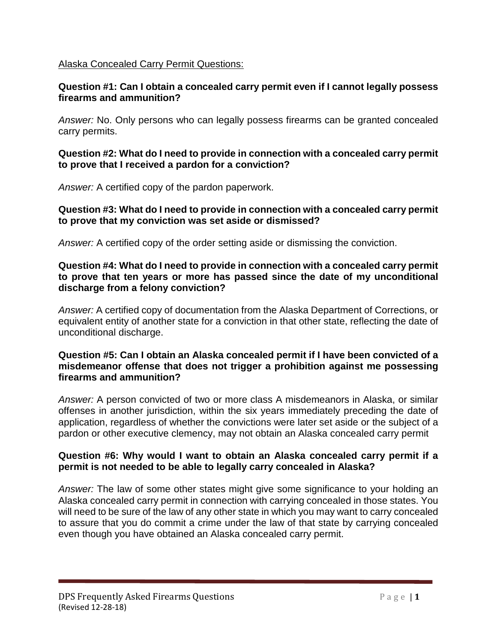# Alaska Concealed Carry Permit Questions:

# **Question #1: Can I obtain a concealed carry permit even if I cannot legally possess firearms and ammunition?**

*Answer:* No. Only persons who can legally possess firearms can be granted concealed carry permits.

# **Question #2: What do I need to provide in connection with a concealed carry permit to prove that I received a pardon for a conviction?**

*Answer:* A certified copy of the pardon paperwork.

# **Question #3: What do I need to provide in connection with a concealed carry permit to prove that my conviction was set aside or dismissed?**

*Answer:* A certified copy of the order setting aside or dismissing the conviction.

### **Question #4: What do I need to provide in connection with a concealed carry permit to prove that ten years or more has passed since the date of my unconditional discharge from a felony conviction?**

*Answer:* A certified copy of documentation from the Alaska Department of Corrections, or equivalent entity of another state for a conviction in that other state, reflecting the date of unconditional discharge.

### **Question #5: Can I obtain an Alaska concealed permit if I have been convicted of a misdemeanor offense that does not trigger a prohibition against me possessing firearms and ammunition?**

*Answer:* A person convicted of two or more class A misdemeanors in Alaska, or similar offenses in another jurisdiction, within the six years immediately preceding the date of application, regardless of whether the convictions were later set aside or the subject of a pardon or other executive clemency, may not obtain an Alaska concealed carry permit

# **Question #6: Why would I want to obtain an Alaska concealed carry permit if a permit is not needed to be able to legally carry concealed in Alaska?**

*Answer:* The law of some other states might give some significance to your holding an Alaska concealed carry permit in connection with carrying concealed in those states. You will need to be sure of the law of any other state in which you may want to carry concealed to assure that you do commit a crime under the law of that state by carrying concealed even though you have obtained an Alaska concealed carry permit.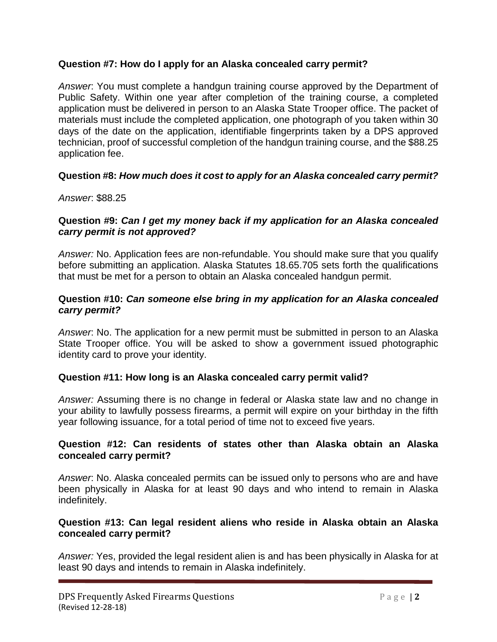# **Question #7: How do I apply for an Alaska concealed carry permit?**

*Answer*: You must complete a handgun training course approved by the Department of Public Safety. Within one year after completion of the training course, a completed application must be delivered in person to an Alaska State Trooper office. The packet of materials must include the completed application, one photograph of you taken within 30 days of the date on the application, identifiable fingerprints taken by a DPS approved technician, proof of successful completion of the handgun training course, and the \$88.25 application fee.

# **Question #8:** *How much does it cost to apply for an Alaska concealed carry permit?*

### *Answer*: \$88.25

# **Question #9:** *Can I get my money back if my application for an Alaska concealed carry permit is not approved?*

*Answer:* No. Application fees are non-refundable. You should make sure that you qualify before submitting an application. Alaska Statutes 18.65.705 sets forth the qualifications that must be met for a person to obtain an Alaska concealed handgun permit.

# **Question #10:** *Can someone else bring in my application for an Alaska concealed carry permit?*

*Answer*: No. The application for a new permit must be submitted in person to an Alaska State Trooper office. You will be asked to show a government issued photographic identity card to prove your identity.

### **Question #11: How long is an Alaska concealed carry permit valid?**

*Answer:* Assuming there is no change in federal or Alaska state law and no change in your ability to lawfully possess firearms, a permit will expire on your birthday in the fifth year following issuance, for a total period of time not to exceed five years.

### **Question #12: Can residents of states other than Alaska obtain an Alaska concealed carry permit?**

*Answer*: No. Alaska concealed permits can be issued only to persons who are and have been physically in Alaska for at least 90 days and who intend to remain in Alaska indefinitely.

### **Question #13: Can legal resident aliens who reside in Alaska obtain an Alaska concealed carry permit?**

*Answer:* Yes, provided the legal resident alien is and has been physically in Alaska for at least 90 days and intends to remain in Alaska indefinitely.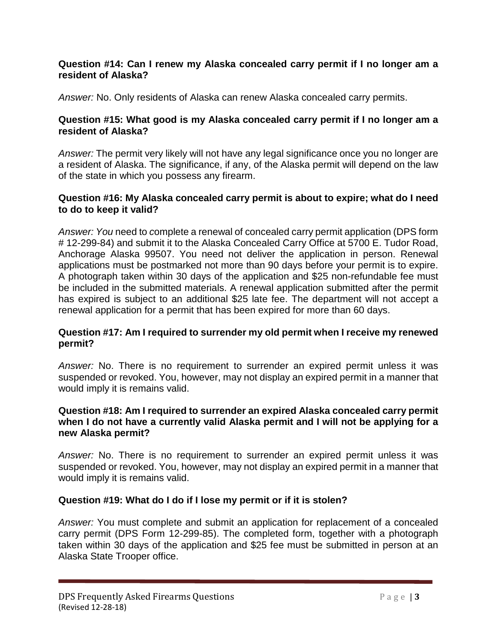# **Question #14: Can I renew my Alaska concealed carry permit if I no longer am a resident of Alaska?**

*Answer:* No. Only residents of Alaska can renew Alaska concealed carry permits.

# **Question #15: What good is my Alaska concealed carry permit if I no longer am a resident of Alaska?**

*Answer:* The permit very likely will not have any legal significance once you no longer are a resident of Alaska. The significance, if any, of the Alaska permit will depend on the law of the state in which you possess any firearm.

# **Question #16: My Alaska concealed carry permit is about to expire; what do I need to do to keep it valid?**

*Answer: You* need to *c*omplete a renewal of concealed carry permit application (DPS form # 12-299-84) and submit it to the Alaska Concealed Carry Office at 5700 E. Tudor Road, Anchorage Alaska 99507. You need not deliver the application in person. Renewal applications must be postmarked not more than 90 days before your permit is to expire. A photograph taken within 30 days of the application and \$25 non-refundable fee must be included in the submitted materials. A renewal application submitted after the permit has expired is subject to an additional \$25 late fee. The department will not accept a renewal application for a permit that has been expired for more than 60 days.

# **Question #17: Am I required to surrender my old permit when I receive my renewed permit?**

*Answer:* No. There is no requirement to surrender an expired permit unless it was suspended or revoked. You, however, may not display an expired permit in a manner that would imply it is remains valid.

# **Question #18: Am I required to surrender an expired Alaska concealed carry permit when I do not have a currently valid Alaska permit and I will not be applying for a new Alaska permit?**

*Answer:* No. There is no requirement to surrender an expired permit unless it was suspended or revoked. You, however, may not display an expired permit in a manner that would imply it is remains valid.

# **Question #19: What do I do if I lose my permit or if it is stolen?**

*Answer:* You must complete and submit an application for replacement of a concealed carry permit (DPS Form 12-299-85). The completed form, together with a photograph taken within 30 days of the application and \$25 fee must be submitted in person at an Alaska State Trooper office.